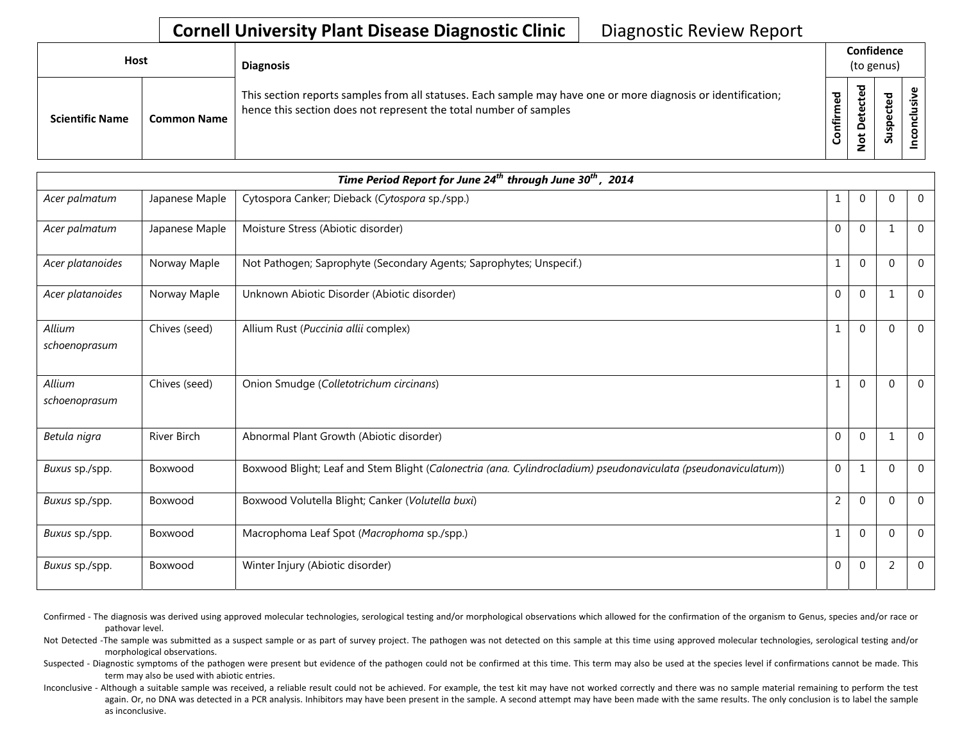| Host |                        |                    | <b>Diagnosis</b>                                                                                                                                                                   |     | Confidence<br>(to genus) |                                 |  |  |  |
|------|------------------------|--------------------|------------------------------------------------------------------------------------------------------------------------------------------------------------------------------------|-----|--------------------------|---------------------------------|--|--|--|
|      | <b>Scientific Name</b> | <b>Common Name</b> | This section reports samples from all statuses. Each sample may have one or more diagnosis or identification;<br>hence this section does not represent the total number of samples | tir | ᅙ<br>ω                   | ted<br>ن<br>$\omega$<br>ဒူ<br>ä |  |  |  |

|                         | Time Period Report for June 24 <sup>th</sup> through June 30 <sup>th</sup> , 2014 |                                                                                                                |                |              |              |              |  |  |  |
|-------------------------|-----------------------------------------------------------------------------------|----------------------------------------------------------------------------------------------------------------|----------------|--------------|--------------|--------------|--|--|--|
| Acer palmatum           | Japanese Maple                                                                    | Cytospora Canker; Dieback (Cytospora sp./spp.)                                                                 | 1              | $\Omega$     | $\mathbf{0}$ | $\Omega$     |  |  |  |
| Acer palmatum           | Japanese Maple                                                                    | Moisture Stress (Abiotic disorder)                                                                             | $\Omega$       | $\Omega$     | $\mathbf{1}$ | $\Omega$     |  |  |  |
| Acer platanoides        | Norway Maple                                                                      | Not Pathogen; Saprophyte (Secondary Agents; Saprophytes; Unspecif.)                                            | $\mathbf{1}$   | $\Omega$     | $\Omega$     | $\Omega$     |  |  |  |
| Acer platanoides        | Norway Maple                                                                      | Unknown Abiotic Disorder (Abiotic disorder)                                                                    | $\mathbf{0}$   | $\mathbf{0}$ | $\mathbf 1$  | $\mathbf 0$  |  |  |  |
| Allium<br>schoenoprasum | Chives (seed)                                                                     | Allium Rust (Puccinia allii complex)                                                                           | $\mathbf{1}$   | $\Omega$     | $\Omega$     | $\mathbf 0$  |  |  |  |
| Allium<br>schoenoprasum | Chives (seed)                                                                     | Onion Smudge (Colletotrichum circinans)                                                                        | $\mathbf{1}$   | $\Omega$     | $\Omega$     | $\mathbf 0$  |  |  |  |
| Betula nigra            | <b>River Birch</b>                                                                | Abnormal Plant Growth (Abiotic disorder)                                                                       | $\Omega$       | $\mathbf{0}$ | $\mathbf{1}$ | $\mathbf{0}$ |  |  |  |
| Buxus sp./spp.          | Boxwood                                                                           | Boxwood Blight; Leaf and Stem Blight (Calonectria (ana. Cylindrocladium) pseudonaviculata (pseudonaviculatum)) | $\mathbf 0$    | 1            | $\mathbf 0$  | $\Omega$     |  |  |  |
| Buxus sp./spp.          | Boxwood                                                                           | Boxwood Volutella Blight; Canker (Volutella buxi)                                                              | $\overline{2}$ | 0            | $\Omega$     | $\Omega$     |  |  |  |
| Buxus sp./spp.          | Boxwood                                                                           | Macrophoma Leaf Spot (Macrophoma sp./spp.)                                                                     | 1              | $\Omega$     | $\Omega$     | $\Omega$     |  |  |  |
| Buxus sp./spp.          | Boxwood                                                                           | Winter Injury (Abiotic disorder)                                                                               | $\overline{0}$ | $\Omega$     | 2            | $\mathbf{0}$ |  |  |  |

Confirmed - The diagnosis was derived using approved molecular technologies, serological testing and/or morphological observations which allowed for the confirmation of the organism to Genus, species and/or race or pathovar level.

Not Detected -The sample was submitted as a suspect sample or as part of survey project. The pathogen was not detected on this sample at this time using approved molecular technologies, serological testing and/or morphological observations.

Suspected - Diagnostic symptoms of the pathogen were present but evidence of the pathogen could not be confirmed at this time. This term may also be used at the species level if confirmations cannot be made. This term may also be used with abiotic entries.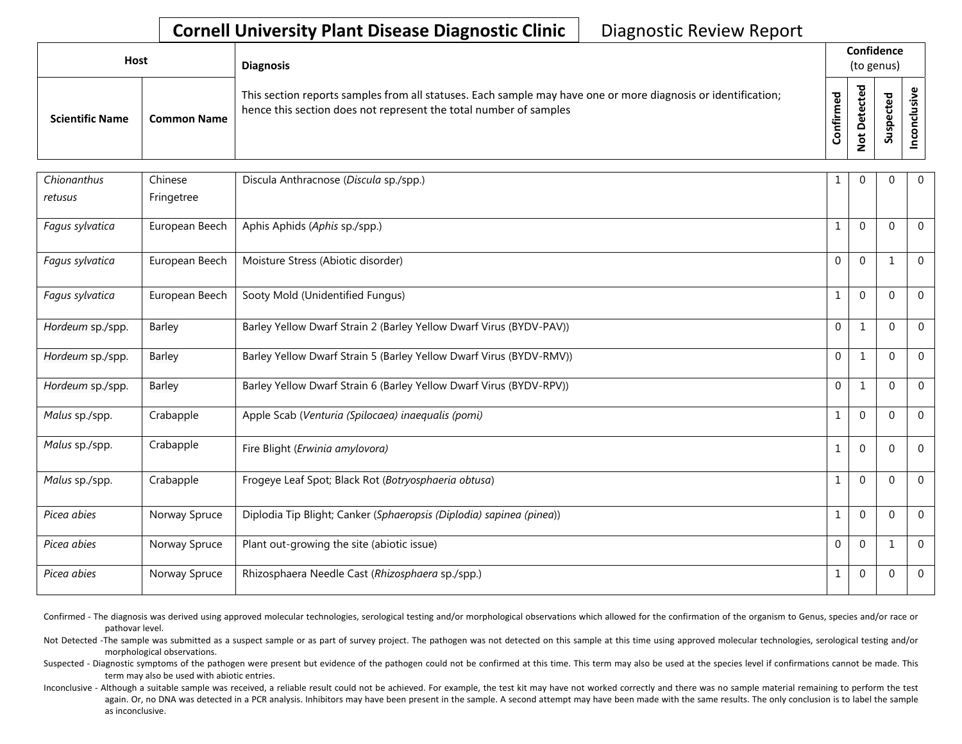| <b>Host</b>            |                    | <b>Diagnosis</b>                                                                                                                                                                   | Confidence<br>(to genus) |                                   |                  |                    |
|------------------------|--------------------|------------------------------------------------------------------------------------------------------------------------------------------------------------------------------------|--------------------------|-----------------------------------|------------------|--------------------|
| <b>Scientific Name</b> | <b>Common Name</b> | This section reports samples from all statuses. Each sample may have one or more diagnosis or identification;<br>hence this section does not represent the total number of samples | ᇃ<br>onfirm              | ಾ<br>ீ<br>$\triangle$<br><u>ي</u> | ъ<br>⊻<br>Ξ<br>S | ω<br>ີທ<br>᠊ᠣ<br>g |

| Chionanthus      | Chinese        | Discula Anthracnose (Discula sp./spp.)                               | 1            | $\Omega$       | $\Omega$     | $\mathbf 0$    |
|------------------|----------------|----------------------------------------------------------------------|--------------|----------------|--------------|----------------|
| retusus          | Fringetree     |                                                                      |              |                |              |                |
| Fagus sylvatica  | European Beech | Aphis Aphids (Aphis sp./spp.)                                        | -1           | $\Omega$       | $\mathbf 0$  | $\mathbf{0}$   |
| Fagus sylvatica  | European Beech | Moisture Stress (Abiotic disorder)                                   | $\Omega$     | $\Omega$       | $\mathbf{1}$ | $\mathbf{0}$   |
| Fagus sylvatica  | European Beech | Sooty Mold (Unidentified Fungus)                                     | $\mathbf{1}$ | $\Omega$       | $\Omega$     | $\mathbf 0$    |
| Hordeum sp./spp. | <b>Barley</b>  | Barley Yellow Dwarf Strain 2 (Barley Yellow Dwarf Virus (BYDV-PAV))  | $\mathbf{0}$ | 1              | $\mathbf 0$  | $\mathbf{0}$   |
| Hordeum sp./spp. | <b>Barley</b>  | Barley Yellow Dwarf Strain 5 (Barley Yellow Dwarf Virus (BYDV-RMV))  | $\mathbf{0}$ | 1              | $\mathbf{0}$ | $\mathbf 0$    |
| Hordeum sp./spp. | Barley         | Barley Yellow Dwarf Strain 6 (Barley Yellow Dwarf Virus (BYDV-RPV))  | $\mathbf 0$  | 1              | $\mathbf{0}$ | $\overline{0}$ |
| Malus sp./spp.   | Crabapple      | Apple Scab (Venturia (Spilocaea) inaequalis (pomi)                   | $\mathbf{1}$ | $\Omega$       | $\Omega$     | $\mathbf{0}$   |
| Malus sp./spp.   | Crabapple      | Fire Blight (Erwinia amylovora)                                      | $\mathbf{1}$ | $\mathbf{0}$   | $\mathbf{0}$ | $\mathbf 0$    |
| Malus sp./spp.   | Crabapple      | Frogeye Leaf Spot; Black Rot (Botryosphaeria obtusa)                 | $\mathbf{1}$ | $\Omega$       | $\Omega$     | $\mathbf{0}$   |
| Picea abies      | Norway Spruce  | Diplodia Tip Blight; Canker (Sphaeropsis (Diplodia) sapinea (pinea)) | 1            | $\Omega$       | $\Omega$     | $\mathbf{0}$   |
| Picea abies      | Norway Spruce  | Plant out-growing the site (abiotic issue)                           | $\Omega$     | $\overline{0}$ | $\mathbf{1}$ | $\mathbf 0$    |
| Picea abies      | Norway Spruce  | Rhizosphaera Needle Cast (Rhizosphaera sp./spp.)                     | $\mathbf{1}$ | $\Omega$       | $\Omega$     | $\mathbf 0$    |

Confirmed - The diagnosis was derived using approved molecular technologies, serological testing and/or morphological observations which allowed for the confirmation of the organism to Genus, species and/or race or pathovar level.

Not Detected -The sample was submitted as a suspect sample or as part of survey project. The pathogen was not detected on this sample at this time using approved molecular technologies, serological testing and/or morphological observations.

Suspected - Diagnostic symptoms of the pathogen were present but evidence of the pathogen could not be confirmed at this time. This term may also be used at the species level if confirmations cannot be made. This term may also be used with abiotic entries.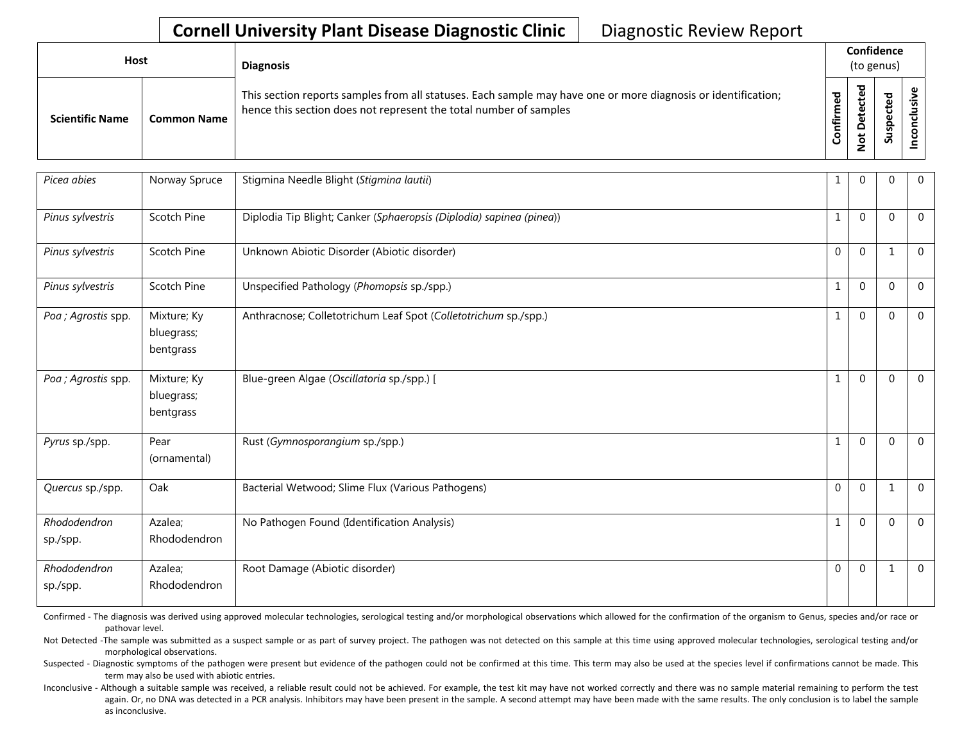| <b>Host</b>            |                    | <b>Diagnosis</b>                                                                                                                                                                   | Confidence<br>(to genus) |                         |                          |  |
|------------------------|--------------------|------------------------------------------------------------------------------------------------------------------------------------------------------------------------------------|--------------------------|-------------------------|--------------------------|--|
| <b>Scientific Name</b> | <b>Common Name</b> | This section reports samples from all statuses. Each sample may have one or more diagnosis or identification;<br>hence this section does not represent the total number of samples | ᇃ<br>onfirm              | ᅙ<br>$\omega$<br>ይ<br>ω | ठ<br>မိ<br><u>۾</u><br>w |  |

| Picea abies              | Norway Spruce                          | Stigmina Needle Blight (Stigmina lautii)                             |                | 0            | $\mathbf{0}$ | $\mathbf 0$    |
|--------------------------|----------------------------------------|----------------------------------------------------------------------|----------------|--------------|--------------|----------------|
| Pinus sylvestris         | Scotch Pine                            | Diplodia Tip Blight; Canker (Sphaeropsis (Diplodia) sapinea (pinea)) |                | $\Omega$     | $\Omega$     | $\mathbf{0}$   |
| Pinus sylvestris         | Scotch Pine                            | Unknown Abiotic Disorder (Abiotic disorder)                          | $\Omega$       | $\Omega$     | 1            | $\overline{0}$ |
| Pinus sylvestris         | Scotch Pine                            | Unspecified Pathology (Phomopsis sp./spp.)                           |                | $\Omega$     | $\mathbf 0$  | $\mathbf{0}$   |
| Poa ; Agrostis spp.      | Mixture; Ky<br>bluegrass;<br>bentgrass | Anthracnose; Colletotrichum Leaf Spot (Colletotrichum sp./spp.)      |                | $\mathbf{0}$ | $\mathbf{0}$ | $\mathbf{0}$   |
| Poa ; Agrostis spp.      | Mixture; Ky<br>bluegrass;<br>bentgrass | Blue-green Algae (Oscillatoria sp./spp.) [                           |                | $\Omega$     | $\mathbf{0}$ | $\overline{0}$ |
| Pyrus sp./spp.           | Pear<br>(ornamental)                   | Rust (Gymnosporangium sp./spp.)                                      | $\mathbf{1}$   | $\Omega$     | $\mathbf{0}$ | $\mathbf{0}$   |
| Quercus sp./spp.         | Oak                                    | Bacterial Wetwood; Slime Flux (Various Pathogens)                    | $\mathbf 0$    | $\mathbf{0}$ | 1            | $\Omega$       |
| Rhododendron<br>sp./spp. | Azalea;<br>Rhododendron                | No Pathogen Found (Identification Analysis)                          |                | $\Omega$     | $\mathbf{0}$ | $\mathbf{0}$   |
| Rhododendron<br>sp./spp. | Azalea;<br>Rhododendron                | Root Damage (Abiotic disorder)                                       | $\overline{0}$ | $\mathbf{0}$ | 1            | $\mathbf{0}$   |

Confirmed - The diagnosis was derived using approved molecular technologies, serological testing and/or morphological observations which allowed for the confirmation of the organism to Genus, species and/or race or pathovar level.

Not Detected -The sample was submitted as a suspect sample or as part of survey project. The pathogen was not detected on this sample at this time using approved molecular technologies, serological testing and/or morphological observations.

Suspected - Diagnostic symptoms of the pathogen were present but evidence of the pathogen could not be confirmed at this time. This term may also be used at the species level if confirmations cannot be made. This term may also be used with abiotic entries.